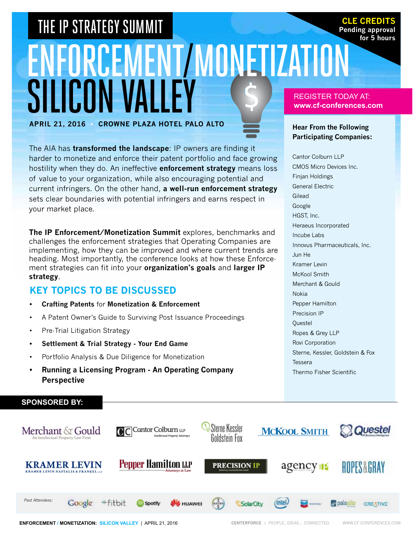# ENFORCEMENT/MONETIZATIO SILICON V **APRIL 21, 2016 • CROWNE PLAZA Hotel PALO ALTO** THE IP STRATEGY SUMMIT **THE IP STRATEGY SUMMIT**

The AIA has **transformed the landscape**: IP owners are finding it harder to monetize and enforce their patent portfolio and face growing hostility when they do. An ineffective **enforcement strategy** means loss of value to your organization, while also encouraging potential and current infringers. On the other hand, **a well-run enforcement strategy** sets clear boundaries with potential infringers and earns respect in your market place.

**The IP Enforcement/Monetization Summit** explores, benchmarks and challenges the enforcement strategies that Operating Companies are implementing, how they can be improved and where current trends are heading. Most importantly, the conference looks at how these Enforcement strategies can fit into your **organization's goals** and **larger IP strategy**.

### **KEY TOPICS TO BE DISCUSSED**

- **Crafting Patents** for **Monetization & Enforcement**
- • A Patent Owner's Guide to Surviving Post Issuance Proceedings
- Pre-Trial Litigation Strategy

**SPONSORED BY:**

- **Settlement & Trial Strategy Your End Game**
- • Portfolio Analysis & Due Diligence for Monetization
- **Running a Licensing Program An Operating Company Perspective**

Sterne Kessler C Cantor Colburn LLP **MCKOOL SMITH Questel** Merchant & Gould Goldstein Fox **Pepper Hamilton LLP KRAMER LEVIN** agency **PRECISION IP ROPES&GRAY** *Past Attendees:* #fitbit Google Spotify **B** HUAWEI (intel) **Prepaloalto** SolarCity **CREATIVE Enforcement / MONETIZATION: SILICON VALLEY** | APRIL 21, 2016 **centerforce** | people, ideas... connected. www.cf-conferences.com

#### REGISTER TODAY AT: **www.cf-conferences.com**

**Pending approval for 5 hours**

#### **Hear From the Following Participating Companies:**

Cantor Colburn LLP CMOS Micro Devices Inc. Finjan Holdings General Electric Gilead Google HGST, Inc. Heraeus Incorporated Incube Labs Innovus Pharmaceuticals, Inc. Jun He Kramer Levin McKool Smith Merchant & Gould Nokia Pepper Hamilton Precision IP **Questel** Ropes & Grey LLP Rovi Corporation Sterne, Kessler, Goldstein & Fox Tessera Thermo Fisher Scientific

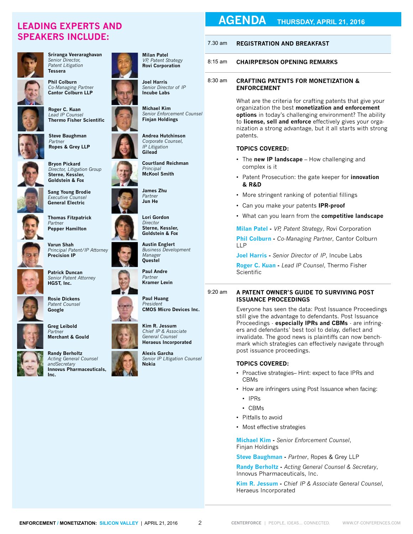## **SPEAKERS INCLUDE:**



**Sriranga Veeraraghavan** *Senior Director, Patent Litigation* **Tessera**



**Phil Colburn** *Co-Managing Partner* **Cantor Colburn LLP**



**Thermo Fisher Scientific**



**Steve Baughman** *Partner* **Ropes & Grey LLP**



**Bryon Pickard** *Director, Litigation Group* **Sterne, Kessler, Goldstein & Fox**



**General Electric Thomas Fitzpatrick** *Partner*

**Pepper Hamilton**

**Sang Young Brodie** *Executive Counsel*



**Varun Shah** *Principal Patent/IP Attorney* **Precision IP**



**Patrick Duncan** *Senior Patent Attorney* **HGST, Inc.**



**Rosie Dickens** *Patent Counsel* **Google**



**Randy Berholtz**

*Acting General Counsel andSecretary* **Innovus Pharmaceuticals, Inc.**



**Joel Harris** *Senior Director of IP* **Incube Labs**

**Michael Kim** *Senior Enforcement Counsel* **Finjan Holdings**

**Andrea Hutchinson** *Corporate Counsel, IP Litigation* **Gilead**

**Courtland Reichman** *Principal* **McKool Smith**



**Austin Englert** *Business Development* 

**Kramer Levin**

**Paul Huang** *President* **CMOS Micro Devices Inc.**

**Kim R. Jessum** *Chief IP & Associate General Counsel* **Heraeus Incorporated**

**Alexis Garcha** *Senior IP LItigation Counsel* **Nokia**

## **AGENDA THURSDAY, APRIL 21, 2016 LEADING EXPERTS AND**

#### 7.30 am **Registration and Breakfast**

#### 8:15 am **chairperson opening remarks**

#### 8:30 am **Crafting Patents for Monetization & Enforcement**

What are the criteria for crafting patents that give your organization the best **monetization and enforcement options** in today's challenging environment? The ability to **license, sell and enforce** effectively gives your organization a strong advantage, but it all starts with strong patents.

#### **Topics Covered:**

- • The **new IP landscape** How challenging and complex is it
- • Patent Prosecution: the gate keeper for **innovation & R&D**
- More stringent ranking of potential fillings
- • Can you make your patents **IPR-proof**
- • What can you learn from the **competitive landscape**

**Milan Patel -** *VP, Patent Strategy*, Rovi Corporation **Phil Colburn -** *Co-Managing Partner*, Cantor Colburn LLP

**Joel Harris -** *Senior Director of IP*, Incube Labs **Roger C. Kuan -** *Lead IP Counsel*, Thermo Fisher Scientific

#### 9:20 am **A Patent Owner's Guide to Surviving Post Issuance Proceedings**

Everyone has seen the data: Post Issuance Proceedings still give the advantage to defendants. Post Issuance Proceedings - **especially IPRs and CBMs** - are infringers and defendants' best tool to delay, deflect and invalidate. The good news is plaintiffs can now benchmark which strategies can effectively navigate through post issuance proceedings.

#### **Topics Covered:**

- Proactive strategies– Hint: expect to face IPRs and CBMs
- How are infringers using Post Issuance when facing:
	- • IPRs
	- • CBMs
- Pitfalls to avoid
- • Most effective strategies

**Michael Kim -** *Senior Enforcement Counsel*, Finjan Holdings

**Steve Baughman -** *Partner*, Ropes & Grey LLP

**Randy Berholtz -** *Acting General Counsel & Secretary*, Innovus Pharmaceuticals, Inc.

**Kim R. Jessum -** *Chief IP & Associate General Counsel*, Heraeus Incorporated

 $\mathfrak{D}$ 





**Paul Andre** *Partner*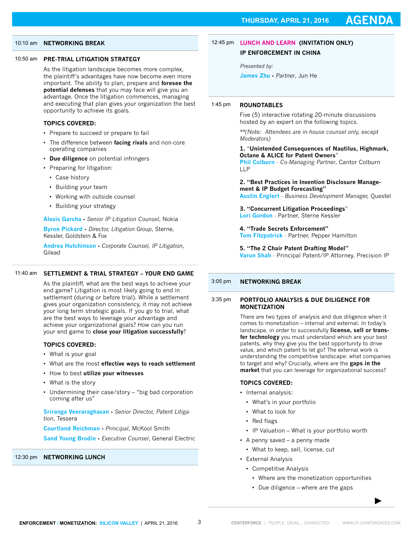#### 10:10 am **NETWORKING BREAK**

#### 10:50 am **Pre-Trial Litigation Strategy**

As the litigation landscape becomes more complex, the plaintiff's advantages have now become even more important. The ability to plan, prepare and **foresee the potential defenses** that you may face will give you an advantage. Once the litigation commences, managing and executing that plan gives your organization the best opportunity to achieve its goals.

#### **Topics Covered:**

- Prepare to succeed or prepare to fail
- • The difference between **facing rivals** and non-core operating companies
- • **Due diligence** on potential infringers
- Preparing for litigation:
	- • Case history
	- • Building your team
	- • Working with outside counsel
	- Building your strategy

#### **Alexis Garcha -** *Senior IP Litigation Counsel*, Nokia

**Byron Pickard -** *Director, Litigation Group*, Sterne, Kessler, Goldstein & Fox

**Andrea Hutchinson -** *Corporate Counsel, IP Litigation*, Gilead

#### 11:40 am **Settlement & Trial Strategy – Your End Game**

As the plaintiff, what are the best ways to achieve your end game? Litigation is most likely going to end in settlement (during or before trial). While a settlement gives your organization consistency, it may not achieve your long term strategic goals. If you go to trial, what are the best ways to leverage your advantage and achieve your organizational goals? How can you run your end game to **close your litigation successfully**?

#### **Topics Covered:**

- What is your goal
- • What are the most **effective ways to reach settlement**
- • How to best **utilize your witnesses**
- What is the story
- Undermining their case/story "big bad corporation coming after us"

**Sriranga Veeraraghavan -** *Senior Director, Patent Litigation*, Tessera

**Courtland Reichman -** *Principal*, McKool Smith

**Sand Young Brodie -** *Executive Counsel*, General Electric

#### 12:30 pm **Networking LUNCH**

#### 12:45 pm **Lunch and Learn (Invitation only)**

**IP ENFORCEMENT IN CHINA**

*Presented by:* 

**James Zhu -** *Partner*, Jun He

#### 1:45 pm **Roundtables**

Five (5) interactive rotating 20-minute discussions hosted by an expert on the following topics.

*\*\*(Note: Attendees are in-house counsel only, except Moderators)*

**1.** "**Unintended Consequences of Nautilus, Highmark, Octane & ALICE for Patent Owners**"

**Phil Colburn** - *Co-Managing Partner*, Cantor Colburn LLP

**2. "Best Practices in Invention Disclosure Management & IP Budget Forecasting"**

**Austin Englert** - *Business Development Manager,* Questel

**3. "Concurrent Litigation Proceedings**" **Lori Gordon** - Partner, Sterne Kessler

**4. "Trade Secrets Enforcement"**

**Tom Fitzpatrick** - Partner, Pepper Hamilton

**5. "The 2 Chair Patent Drafting Model" Varun Shah** - Principal Patent/IP Attorney, Precision IP

#### 3:05 pm **NETWORKING BREAK**

#### 3:35 pm **Portfolio Analysis & Due Diligence for Monetization**

There are two types of analysis and due diligence when it comes to monetization – internal and external. In today's landscape, in order to successfully **license, sell or transfer technology** you must understand which are your best patents, why they give you the best opportunity to drive value, and which patent to let go? The external work is understanding the competitive landscape: what companies to target and why? Crucially, where are the **gaps in the market** that you can leverage for organizational success?

#### **TOPICS COVERED:**

- Internal analysis:
	- What's in your portfolio
	- • What to look for
	- Red flags
- IP Valuation What is your portfolio worth
- A penny saved a penny made
	- What to keep, sell, license, cut
- • External Analysis
	- • Competitive Analysis
		- Where are the monetization opportunities
		- Due diligence where are the gaps

3

**►**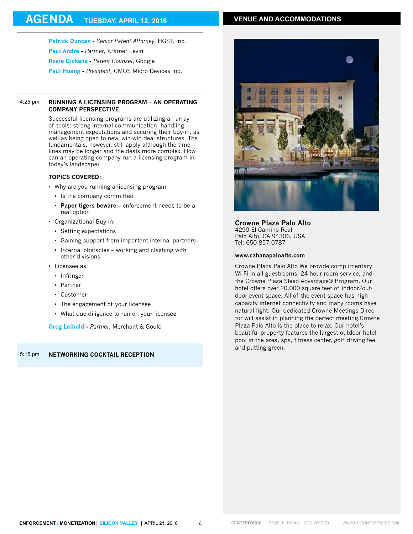#### **VENUE AND ACCOMMODATIONS**

**Patrick Duncan -** *Senior Patent Attorney*, HGST, Inc. **Paul Andre -** *Partner*, Kramer Levin **Rosie Dickens -** *Patent Counsel*, Google

**Paul Huang -** *President,* CMOS Micro Devices Inc.

#### 4:25 pm **Running a Licensing Program – An Operating Company Perspective**

Successful licensing programs are utilizing an array of tools: strong internal communication, handling management expectations and securing their buy-in, as well as being open to new, win-win deal structures. The fundamentals, however, still apply although the time lines may be longer and the deals more complex. How can an operating company run a licensing program in today's landscape?

#### **TOPICS COVERED:**

- Why are you running a licensing program
	- • Is the company committed
	- • **Paper tigers beware** enforcement needs to be a real option
- • Organizational Buy-in:
	- Setting expectations
	- • Gaining support from important internal partners
	- • Internal obstacles working and clashing with other divisions
- Licensee as:
	- Infringer
	- • Partner
	- • Customer
	- The engagement of your licensee
	- • What due diligence to run on your licens**ee**

**Greg Leibold -** *Partner*, Merchant & Gould

#### 5:15 pm **NETWORKING COCKTAIL RECEPTION**



#### **Crowne Plaza Palo Alto**

4290 El Camino Real Palo Alto, CA 94306, USA Tel: 650-857-0787

#### **www.cabanapaloalto.com**

Crowne Plaza Palo Alto We provide complimentary Wi-Fi in all guestrooms, 24 hour room service, and the Crowne Plaza Sleep Advantage® Program. Our hotel offers over 20,000 square feet of indoor/outdoor event space. All of the event space has high capacity internet connectivity and many rooms have natural light. Our dedicated Crowne Meetings Director will assist in planning the perfect meeting.Crowne Plaza Palo Alto is the place to relax. Our hotel's beautiful property features the largest outdoor hotel pool in the area, spa, fitness center, golf driving tee and putting green.